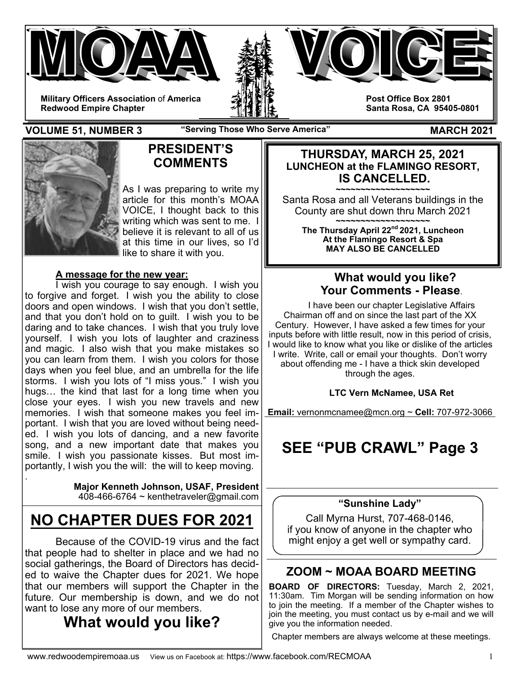





**Post Office Box 2801 Santa Rosa, CA 95405-0801** 

**VOLUME 51, NUMBER 3** The "Serving Those Who Serve America" MARCH 2021



# **PRESIDENT'S COMMENTS**

As I was preparing to write my article for this month's MOAA VOICE, I thought back to this writing which was sent to me. I believe it is relevant to all of us at this time in our lives, so I'd like to share it with you.

### **A message for the new year:**

 I wish you courage to say enough. I wish you to forgive and forget. I wish you the ability to close doors and open windows. I wish that you don't settle, and that you don't hold on to guilt. I wish you to be daring and to take chances. I wish that you truly love yourself. I wish you lots of laughter and craziness and magic. I also wish that you make mistakes so you can learn from them. I wish you colors for those days when you feel blue, and an umbrella for the life storms. I wish you lots of "I miss yous." I wish you hugs… the kind that last for a long time when you close your eyes. I wish you new travels and new memories. I wish that someone makes you feel important. I wish that you are loved without being needed. I wish you lots of dancing, and a new favorite song, and a new important date that makes you smile. I wish you passionate kisses. But most importantly, I wish you the will: the will to keep moving. .

**Major Kenneth Johnson, USAF, President**   $408-466-6764$  ~ kenthetraveler@gmail.com

# **NO CHAPTER DUES FOR 2021**

Because of the COVID-19 virus and the fact that people had to shelter in place and we had no social gatherings, the Board of Directors has decided to waive the Chapter dues for 2021. We hope that our members will support the Chapter in the future. Our membership is down, and we do not want to lose any more of our members.

# **What would you like?**

### **THURSDAY, MARCH 25, 2021 LUNCHEON at the FLAMINGO RESORT, IS CANCELLED.**

**~~~~~~~~~~~~~~~~~~~**  Santa Rosa and all Veterans buildings in the County are shut down thru March 2021

**~~~~~~~~~~~~~~~~~~~ The Thursday April 22nd 2021, Luncheon At the Flamingo Resort & Spa MAY ALSO BE CANCELLED** 

# **What would you like? Your Comments - Please**.

I have been our chapter Legislative Affairs Chairman off and on since the last part of the XX Century. However, I have asked a few times for your inputs before with little result, now in this period of crisis, I would like to know what you like or dislike of the articles I write. Write, call or email your thoughts. Don't worry about offending me - I have a thick skin developed through the ages.

### **LTC Vern McNamee, USA Ret**

**Email:** vernonmcnamee@mcn.org ~ **Cell:** 707-972-3066

# **SEE "PUB CRAWL" Page 3**

### **"Sunshine Lady"**

Call Myrna Hurst, 707-468-0146, if you know of anyone in the chapter who might enjoy a get well or sympathy card.

# **ZOOM ~ MOAA BOARD MEETING**

**BOARD OF DIRECTORS:** Tuesday, March 2, 2021, 11:30am. Tim Morgan will be sending information on how to join the meeting. If a member of the Chapter wishes to join the meeting, you must contact us by e-mail and we will give you the information needed.

Chapter members are always welcome at these meetings.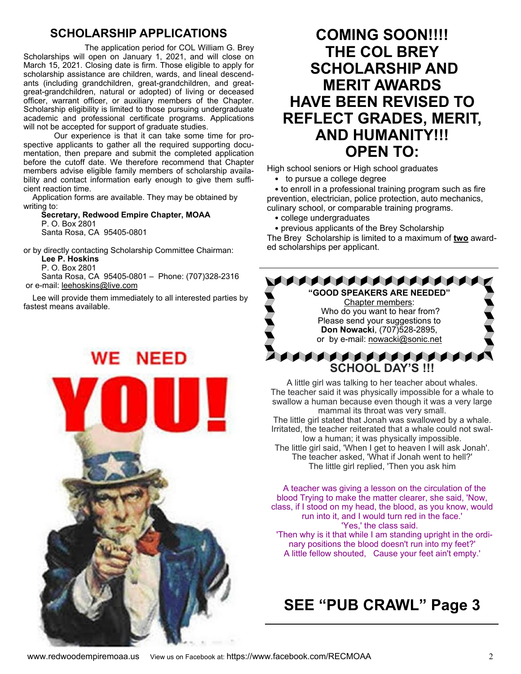# **SCHOLARSHIP APPLICATIONS**

 The application period for COL William G. Brey Scholarships will open on January 1, 2021, and will close on March 15, 2021. Closing date is firm. Those eligible to apply for scholarship assistance are children, wards, and lineal descendants (including grandchildren, great-grandchildren, and greatgreat-grandchildren, natural or adopted) of living or deceased officer, warrant officer, or auxiliary members of the Chapter. Scholarship eligibility is limited to those pursuing undergraduate academic and professional certificate programs. Applications will not be accepted for support of graduate studies.

Our experience is that it can take some time for prospective applicants to gather all the required supporting documentation, then prepare and submit the completed application before the cutoff date. We therefore recommend that Chapter members advise eligible family members of scholarship availability and contact information early enough to give them sufficient reaction time.

 Application forms are available. They may be obtained by writing to:

 **Secretary, Redwood Empire Chapter, MOAA** P. O. Box 2801 Santa Rosa, CA 95405-0801

or by directly contacting Scholarship Committee Chairman:

**Lee P. Hoskins**

 P. O. Box 2801 Santa Rosa, CA 95405-0801 – Phone: (707)328-2316 or e-mail: leehoskins@live.com

 Lee will provide them immediately to all interested parties by fastest means available.

**WE NEED** 

# **COMING SOON!!!! THE COL BREY SCHOLARSHIP AND MERIT AWARDS HAVE BEEN REVISED TO REFLECT GRADES, MERIT, AND HUMANITY!!! OPEN TO:**

High school seniors or High school graduates

• to pursue a college degree

• to enroll in a professional training program such as fire prevention, electrician, police protection, auto mechanics, culinary school, or comparable training programs.

• college undergraduates

• previous applicants of the Brey Scholarship The Brey Scholarship is limited to a maximum of **two** awarded scholarships per applicant.



The teacher said it was physically impossible for a whale to swallow a human because even though it was a very large mammal its throat was very small. The little girl stated that Jonah was swallowed by a whale. Irritated, the teacher reiterated that a whale could not swallow a human; it was physically impossible. The little girl said, 'When I get to heaven I will ask Jonah'. The teacher asked, 'What if Jonah went to hell?' The little girl replied, 'Then you ask him

A teacher was giving a lesson on the circulation of the blood Trying to make the matter clearer, she said, 'Now, class, if I stood on my head, the blood, as you know, would run into it, and I would turn red in the face.' 'Yes,' the class said. 'Then why is it that while I am standing upright in the ordi-

nary positions the blood doesn't run into my feet?' A little fellow shouted, Cause your feet ain't empty.'

# **SEE "PUB CRAWL" Page 3**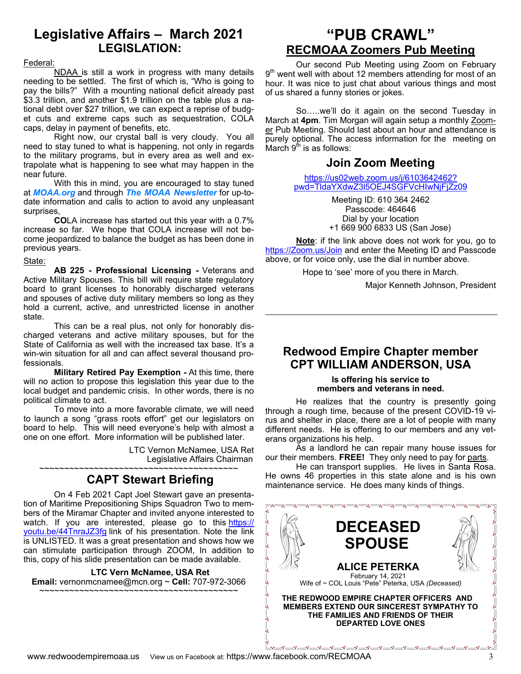# **Legislative Affairs – March 2021 LEGISLATION:**

#### Federal:

 NDAA is still a work in progress with many details needing to be settled. The first of which is, "Who is going to pay the bills?" With a mounting national deficit already past \$3.3 trillion, and another \$1.9 trillion on the table plus a national debt over \$27 trillion, we can expect a reprise of budget cuts and extreme caps such as sequestration, COLA caps, delay in payment of benefits, etc.

 Right now, our crystal ball is very cloudy. You all need to stay tuned to what is happening, not only in regards to the military programs, but in every area as well and extrapolate what is happening to see what may happen in the near future.

 With this in mind, you are encouraged to stay tuned at *MOAA.org* and through *The MOAA Newsletter* for up-todate information and calls to action to avoid any unpleasant surprises,

**CO**LA increase has started out this year with a 0.7% increase so far. We hope that COLA increase will not become jeopardized to balance the budget as has been done in previous years.

#### State:

**AB 225 - Professional Licensing -** Veterans and Active Military Spouses. This bill will require state regulatory board to grant licenses to honorably discharged veterans and spouses of active duty military members so long as they hold a current, active, and unrestricted license in another state.

 This can be a real plus, not only for honorably discharged veterans and active military spouses, but for the State of California as well with the increased tax base. It's a win-win situation for all and can affect several thousand professionals.

**Military Retired Pay Exemption -** At this time, there will no action to propose this legislation this year due to the local budget and pandemic crisis. In other words, there is no political climate to act.

 To move into a more favorable climate, we will need to launch a song "grass roots effort" get our legislators on board to help. This will need everyone's help with almost a one on one effort. More information will be published later.

LTC Vernon McNamee, USA Ret Legislative Affairs Chairman ~~~~~~~~~~~~~~~~~~~~~~~~~~~~~~~~~~~~~~~~

## **CAPT Stewart Briefing**

 On 4 Feb 2021 Capt Joel Stewart gave an presentation of Maritime Prepositioning Ships Squadron Two to members of the Miramar Chapter and invited anyone interested to watch. If you are interested, please go to this https:// youtu.be/44TnraJZ3fg link of his presentation. Note the link is UNLISTED. It was a great presentation and shows how we can stimulate participation through ZOOM, In addition to this, copy of his slide presentation can be made available.

**LTC Vern McNamee, USA Ret Email:** vernonmcnamee@mcn.org ~ **Cell:** 707-972-3066

~~~~~~~~~~~~~~~~~~~~~~~~~~~~~~~~~~~~~~~~

# **"PUB CRAWL" RECMOAA Zoomers Pub Meeting**

 Our second Pub Meeting using Zoom on February 9<sup>th</sup> went well with about 12 members attending for most of an hour. It was nice to just chat about various things and most of us shared a funny stories or jokes.

 So…..we'll do it again on the second Tuesday in March at **4pm**. Tim Morgan will again setup a monthly Zoomer Pub Meeting. Should last about an hour and attendance is purely optional. The access information for the meeting on  $M$ arch  $9<sup>th</sup>$  is as follows:

## **Join Zoom Meeting**

https://us02web.zoom.us/j/6103642462? pwd=TldaYXdwZ3l5OEJ4SGFVcHIwNjFjZz09

> Meeting ID: 610 364 2462 Passcode: 464646 Dial by your location +1 669 900 6833 US (San Jose)

**Note**: if the link above does not work for you, go to https://Zoom.us/Join and enter the Meeting ID and Passcode above, or for voice only, use the dial in number above.

Hope to 'see' more of you there in March.

Major Kenneth Johnson, President

### **Redwood Empire Chapter member CPT WILLIAM ANDERSON, USA**

#### **Is offering his service to members and veterans in need.**

 He realizes that the country is presently going through a rough time, because of the present COVID-19 virus and shelter in place, there are a lot of people with many different needs. He is offering to our members and any veterans organizations his help.

 As a landlord he can repair many house issues for our their members. **FREE!** They only need to pay for parts.

 He can transport supplies. He lives in Santa Rosa. He owns 46 properties in this state alone and is his own maintenance service. He does many kinds of things.